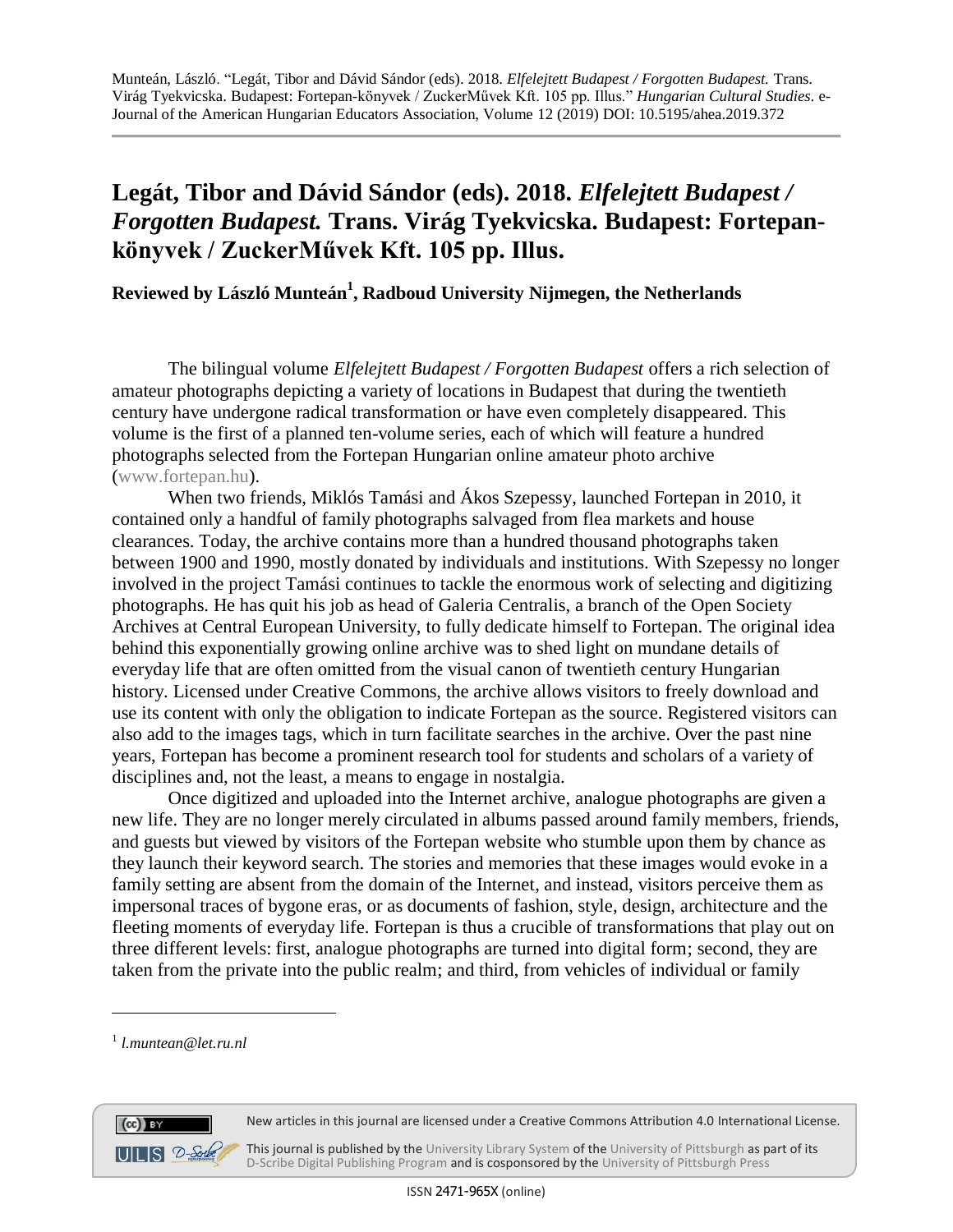## **Legát, Tibor and Dávid Sándor (eds). 2018.** *Elfelejtett Budapest / Forgotten Budapest.* **Trans. Virág Tyekvicska. Budapest: Fortepankönyvek / ZuckerMűvek Kft. 105 pp. Illus.**

**Reviewed by László Munteán<sup>1</sup> , Radboud University Nijmegen, the Netherlands**

The bilingual volume *Elfelejtett Budapest / Forgotten Budapest* offers a rich selection of amateur photographs depicting a variety of locations in Budapest that during the twentieth century have undergone radical transformation or have even completely disappeared. This volume is the first of a planned ten-volume series, each of which will feature a hundred photographs selected from the Fortepan Hungarian online amateur photo archive [\(www.fortepan.hu\)](http://www.fortepan.hu/).

When two friends, Miklós Tamási and Ákos Szepessy, launched Fortepan in 2010, it contained only a handful of family photographs salvaged from flea markets and house clearances. Today, the archive contains more than a hundred thousand photographs taken between 1900 and 1990, mostly donated by individuals and institutions. With Szepessy no longer involved in the project Tamási continues to tackle the enormous work of selecting and digitizing photographs. He has quit his job as head of Galeria Centralis, a branch of the Open Society Archives at Central European University, to fully dedicate himself to Fortepan. The original idea behind this exponentially growing online archive was to shed light on mundane details of everyday life that are often omitted from the visual canon of twentieth century Hungarian history. Licensed under Creative Commons, the archive allows visitors to freely download and use its content with only the obligation to indicate Fortepan as the source. Registered visitors can also add to the images tags, which in turn facilitate searches in the archive. Over the past nine years, Fortepan has become a prominent research tool for students and scholars of a variety of disciplines and, not the least, a means to engage in nostalgia.

Once digitized and uploaded into the Internet archive, analogue photographs are given a new life. They are no longer merely circulated in albums passed around family members, friends, and guests but viewed by visitors of the Fortepan website who stumble upon them by chance as they launch their keyword search. The stories and memories that these images would evoke in a family setting are absent from the domain of the Internet, and instead, visitors perceive them as impersonal traces of bygone eras, or as documents of fashion, style, design, architecture and the fleeting moments of everyday life. Fortepan is thus a crucible of transformations that play out on three different levels: first, analogue photographs are turned into digital form; second, they are taken from the private into the public realm; and third, from vehicles of individual or family

 $\overline{a}$ 



New articles in this journal are licensed under a Creative Commons Attribution 4.0 International License.

This journal is published by the University Library System of the University of Pittsburgh as part of its D-Scribe Digital Publishing Program and is cosponsored by the University of Pittsburgh Press

<sup>1</sup> *[l.muntean@let.ru.nl](mailto:l.muntean@let.ru.nl)*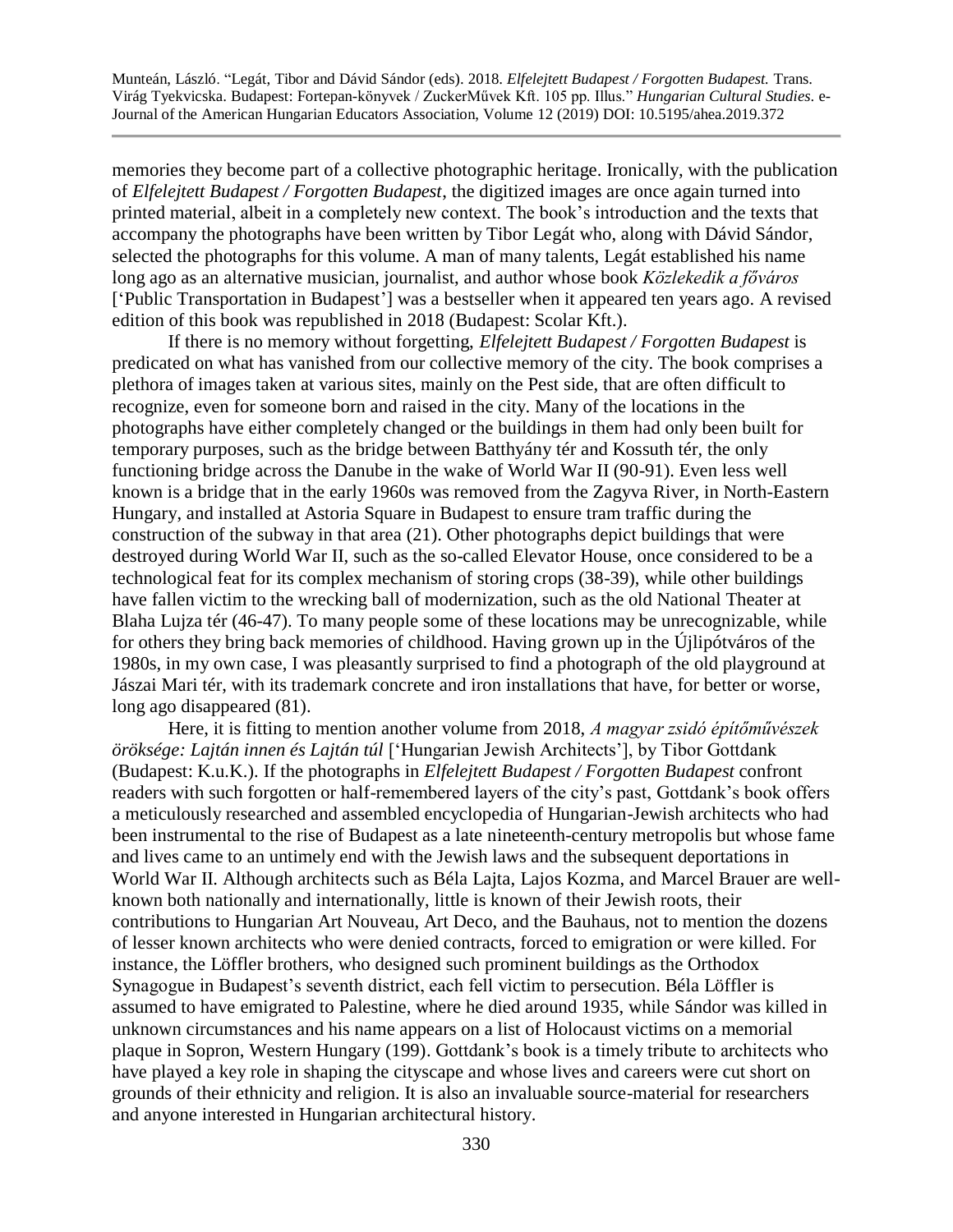Munteán, László. "Legát, Tibor and Dávid Sándor (eds). 2018. *Elfelejtett Budapest / Forgotten Budapest.* Trans. Virág Tyekvicska. Budapest: Fortepan-könyvek / ZuckerMűvek Kft. 105 pp. Illus." *Hungarian Cultural Studies*. e-Journal of the American Hungarian Educators Association, Volume 12 (2019) DOI: 10.5195/ahea.2019.372

memories they become part of a collective photographic heritage. Ironically, with the publication of *Elfelejtett Budapest / Forgotten Budapest*, the digitized images are once again turned into printed material, albeit in a completely new context. The book's introduction and the texts that accompany the photographs have been written by Tibor Legát who, along with Dávid Sándor, selected the photographs for this volume. A man of many talents, Legát established his name long ago as an alternative musician, journalist, and author whose book *Közlekedik a főváros*  ['Public Transportation in Budapest'] was a bestseller when it appeared ten years ago. A revised edition of this book was republished in 2018 (Budapest: Scolar Kft.).

If there is no memory without forgetting, *Elfelejtett Budapest / Forgotten Budapest* is predicated on what has vanished from our collective memory of the city. The book comprises a plethora of images taken at various sites, mainly on the Pest side, that are often difficult to recognize, even for someone born and raised in the city. Many of the locations in the photographs have either completely changed or the buildings in them had only been built for temporary purposes, such as the bridge between Batthyány tér and Kossuth tér, the only functioning bridge across the Danube in the wake of World War II (90-91). Even less well known is a bridge that in the early 1960s was removed from the Zagyva River, in North-Eastern Hungary, and installed at Astoria Square in Budapest to ensure tram traffic during the construction of the subway in that area (21). Other photographs depict buildings that were destroyed during World War II, such as the so-called Elevator House, once considered to be a technological feat for its complex mechanism of storing crops (38-39), while other buildings have fallen victim to the wrecking ball of modernization, such as the old National Theater at Blaha Lujza tér (46-47). To many people some of these locations may be unrecognizable, while for others they bring back memories of childhood. Having grown up in the Újlipótváros of the 1980s, in my own case, I was pleasantly surprised to find a photograph of the old playground at Jászai Mari tér, with its trademark concrete and iron installations that have, for better or worse, long ago disappeared (81).

Here, it is fitting to mention another volume from 2018, *A magyar zsidó építőművészek öröksége: Lajtán innen és Lajtán túl* ['Hungarian Jewish Architects'], by Tibor Gottdank (Budapest: K.u.K.). If the photographs in *Elfelejtett Budapest / Forgotten Budapest* confront readers with such forgotten or half-remembered layers of the city's past, Gottdank's book offers a meticulously researched and assembled encyclopedia of Hungarian-Jewish architects who had been instrumental to the rise of Budapest as a late nineteenth-century metropolis but whose fame and lives came to an untimely end with the Jewish laws and the subsequent deportations in World War II. Although architects such as Béla Lajta, Lajos Kozma, and Marcel Brauer are wellknown both nationally and internationally, little is known of their Jewish roots, their contributions to Hungarian Art Nouveau, Art Deco, and the Bauhaus, not to mention the dozens of lesser known architects who were denied contracts, forced to emigration or were killed. For instance, the Löffler brothers, who designed such prominent buildings as the Orthodox Synagogue in Budapest's seventh district, each fell victim to persecution. Béla Löffler is assumed to have emigrated to Palestine, where he died around 1935, while Sándor was killed in unknown circumstances and his name appears on a list of Holocaust victims on a memorial plaque in Sopron, Western Hungary (199). Gottdank's book is a timely tribute to architects who have played a key role in shaping the cityscape and whose lives and careers were cut short on grounds of their ethnicity and religion. It is also an invaluable source-material for researchers and anyone interested in Hungarian architectural history.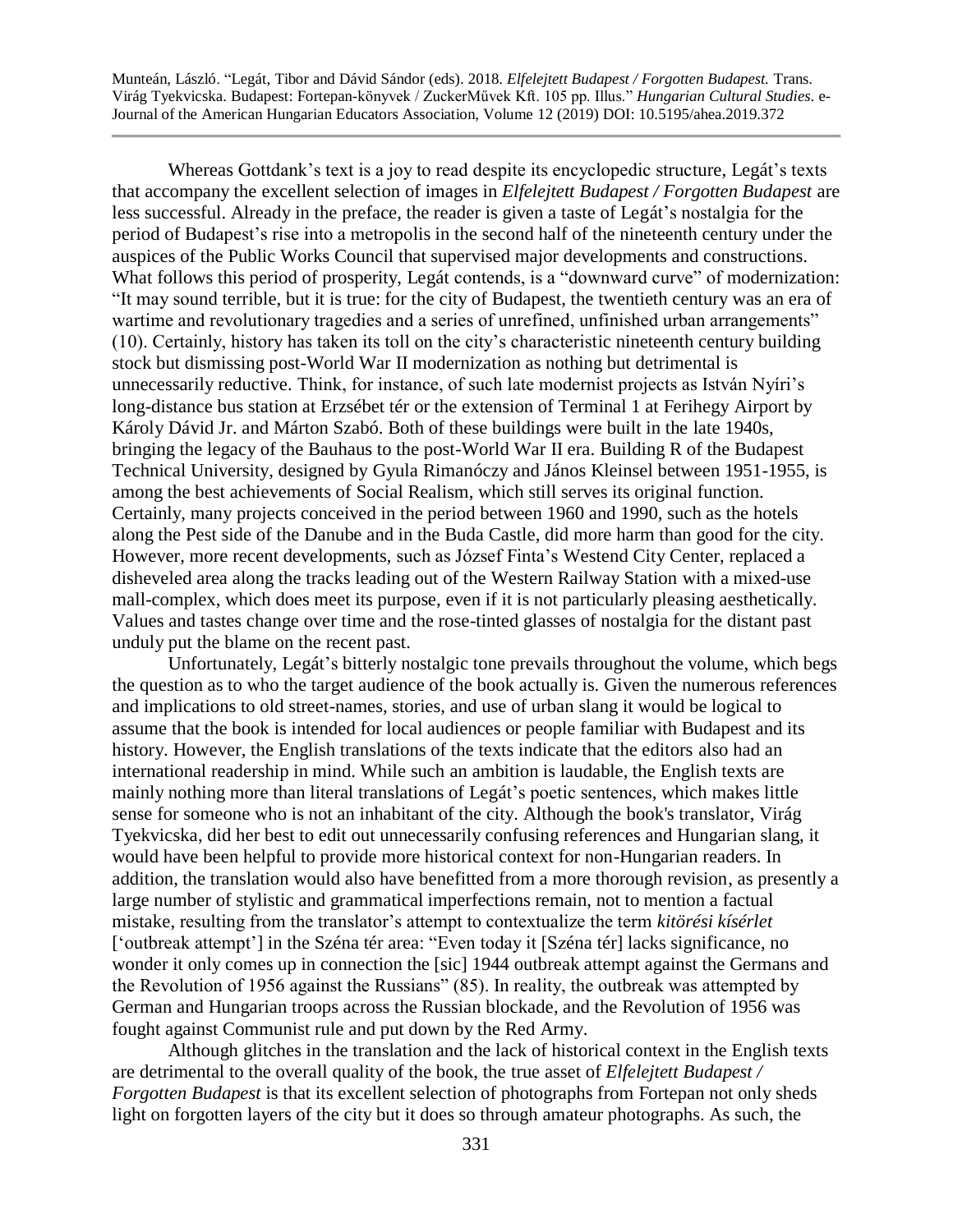Munteán, László. "Legát, Tibor and Dávid Sándor (eds). 2018. *Elfelejtett Budapest / Forgotten Budapest.* Trans. Virág Tyekvicska. Budapest: Fortepan-könyvek / ZuckerMűvek Kft. 105 pp. Illus." *Hungarian Cultural Studies*. e-Journal of the American Hungarian Educators Association, Volume 12 (2019) DOI: 10.5195/ahea.2019.372

Whereas Gottdank's text is a joy to read despite its encyclopedic structure, Legát's texts that accompany the excellent selection of images in *Elfelejtett Budapest / Forgotten Budapest* are less successful. Already in the preface, the reader is given a taste of Legát's nostalgia for the period of Budapest's rise into a metropolis in the second half of the nineteenth century under the auspices of the Public Works Council that supervised major developments and constructions. What follows this period of prosperity, Legát contends, is a "downward curve" of modernization: "It may sound terrible, but it is true: for the city of Budapest, the twentieth century was an era of wartime and revolutionary tragedies and a series of unrefined, unfinished urban arrangements" (10). Certainly, history has taken its toll on the city's characteristic nineteenth century building stock but dismissing post-World War II modernization as nothing but detrimental is unnecessarily reductive. Think, for instance, of such late modernist projects as István Nyíri's long-distance bus station at Erzsébet tér or the extension of Terminal 1 at Ferihegy Airport by Károly Dávid Jr. and Márton Szabó. Both of these buildings were built in the late 1940s, bringing the legacy of the Bauhaus to the post-World War II era. Building R of the Budapest Technical University, designed by Gyula Rimanóczy and János Kleinsel between 1951-1955, is among the best achievements of Social Realism, which still serves its original function. Certainly, many projects conceived in the period between 1960 and 1990, such as the hotels along the Pest side of the Danube and in the Buda Castle, did more harm than good for the city. However, more recent developments, such as József Finta's Westend City Center, replaced a disheveled area along the tracks leading out of the Western Railway Station with a mixed-use mall-complex, which does meet its purpose, even if it is not particularly pleasing aesthetically. Values and tastes change over time and the rose-tinted glasses of nostalgia for the distant past unduly put the blame on the recent past.

Unfortunately, Legát's bitterly nostalgic tone prevails throughout the volume, which begs the question as to who the target audience of the book actually is. Given the numerous references and implications to old street-names, stories, and use of urban slang it would be logical to assume that the book is intended for local audiences or people familiar with Budapest and its history. However, the English translations of the texts indicate that the editors also had an international readership in mind. While such an ambition is laudable, the English texts are mainly nothing more than literal translations of Legát's poetic sentences, which makes little sense for someone who is not an inhabitant of the city. Although the book's translator, Virág Tyekvicska, did her best to edit out unnecessarily confusing references and Hungarian slang, it would have been helpful to provide more historical context for non-Hungarian readers. In addition, the translation would also have benefitted from a more thorough revision, as presently a large number of stylistic and grammatical imperfections remain, not to mention a factual mistake, resulting from the translator's attempt to contextualize the term *kitörési kísérlet* ['outbreak attempt'] in the Széna tér area: "Even today it [Széna tér] lacks significance, no wonder it only comes up in connection the [sic] 1944 outbreak attempt against the Germans and the Revolution of 1956 against the Russians" (85). In reality, the outbreak was attempted by German and Hungarian troops across the Russian blockade, and the Revolution of 1956 was fought against Communist rule and put down by the Red Army.

Although glitches in the translation and the lack of historical context in the English texts are detrimental to the overall quality of the book, the true asset of *Elfelejtett Budapest / Forgotten Budapest* is that its excellent selection of photographs from Fortepan not only sheds light on forgotten layers of the city but it does so through amateur photographs. As such, the